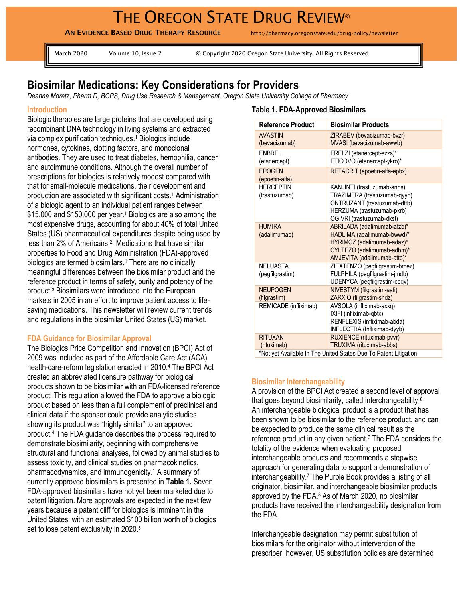# THE OREGON STATE DRUG REVIEW®

**AN EVIDENCE BASED DRUG THERAPY RESOURCE** http://pharmacy.oregonstate.edu/drug-policy/newsletter

March 2020 Volume 10, Issue 2 © Copyright 2020 Oregon State University. All Rights Reserved

# **Biosimilar Medications: Key Considerations for Providers**

*Deanna Moretz, Pharm.D, BCPS, Drug Use Research & Management, Oregon State University College of Pharmacy*

#### **Introduction**

Biologic therapies are large proteins that are developed using recombinant DNA technology in living systems and extracted via complex purification techniques.<sup>1</sup> Biologics include hormones, cytokines, clotting factors, and monoclonal antibodies. They are used to treat diabetes, hemophilia, cancer and autoimmune conditions. Although the overall number of prescriptions for biologics is relatively modest compared with that for small-molecule medications, their development and production are associated with significant costs.<sup>1</sup> Administration of a biologic agent to an individual patient ranges between \$15,000 and \$150,000 per year.<sup>1</sup> Biologics are also among the most expensive drugs, accounting for about 40% of total United States (US) pharmaceutical expenditures despite being used by less than 2% of Americans.<sup>2</sup> Medications that have similar properties to Food and Drug Administration (FDA)-approved biologics are termed biosimilars.<sup>1</sup> There are no clinically meaningful differences between the biosimilar product and the reference product in terms of safety, purity and potency of the product. <sup>3</sup> Biosimilars were introduced into the European markets in 2005 in an effort to improve patient access to lifesaving medications. This newsletter will review current trends and regulations in the biosimilar United States (US) market.

#### **FDA Guidance for Biosimilar Approval**

The Biologics Price Competition and Innovation (BPCI) Act of 2009 was included as part of the Affordable Care Act (ACA) health-care-reform legislation enacted in 2010.<sup>4</sup> The BPCI Act created an abbreviated licensure pathway for biological products shown to be biosimilar with an FDA-licensed reference product. This regulation allowed the FDA to approve a biologic product based on less than a full complement of preclinical and clinical data if the sponsor could provide analytic studies showing its product was "highly similar" to an approved product. <sup>4</sup> The FDA guidance describes the process required to demonstrate biosimilarity, beginning with comprehensive structural and functional analyses, followed by animal studies to assess toxicity, and clinical studies on pharmacokinetics, pharmacodynamics, and immunogenicity.<sup>1</sup> A summary of currently approved biosimilars is presented in **Table 1.** Seven FDA-approved biosimilars have not yet been marketed due to patent litigation. More approvals are expected in the next few years because a patent cliff for biologics is imminent in the United States, with an estimated \$100 billion worth of biologics set to lose patent exclusivity in 2020.<sup>5</sup>

## **Table 1. FDA-Approved Biosimilars**

| Reference Product                                                | <b>Biosimilar Products</b>                               |
|------------------------------------------------------------------|----------------------------------------------------------|
| <b>AVASTIN</b>                                                   | ZIRABEV (bevacizumab-bvzr)                               |
| (bevacizumab)                                                    | MVASI (bevacizumab-awwb)                                 |
| <b>FNBRFI</b>                                                    | ERELZI (etanercept-szzs)*                                |
| (etanercept)                                                     | ETICOVO (etanercept-ykro)*                               |
| <b>EPOGEN</b>                                                    | RETACRIT (epoetin-alfa-epbx)                             |
| (epoetin-alfa)                                                   |                                                          |
| <b>HERCEPTIN</b>                                                 | KANJINTI (trastuzumab-anns)                              |
| (trastuzumab)                                                    | TRAZIMERA (trastuzumab-qyyp)                             |
|                                                                  | ONTRUZANT (trastuzumab-dttb)                             |
|                                                                  | HERZUMA (trastuzumab-pkrb)                               |
| <b>HUMIRA</b>                                                    | OGIVRI (trastuzumab-dkst)<br>ABRILADA (adalimumab-afzb)* |
| (adalimumab)                                                     | HADLIMA (adalimumab-bwwd)*                               |
|                                                                  | HYRIMOZ (adalimumab-adaz)*                               |
|                                                                  | CYLTEZO (adalimumab-adbm)*                               |
|                                                                  | AMJEVITA (adalimumab-atto)*                              |
| NELUASTA                                                         | ZIEXTENZO (pegfilgrastim-bmez)                           |
| (pegfilgrastim)                                                  | FULPHILA (pegfilgrastim-jmdb)                            |
|                                                                  | UDENYCA (pegfilgrastim-cbqv)                             |
| <b>NEUPOGEN</b>                                                  | NIVESTYM (filgrastim-aafi)                               |
| (filgrastim)                                                     | ZARXIO (filgrastim-sndz)                                 |
| REMICADE (infliximab)                                            | AVSOLA (infliximab-axxq)                                 |
|                                                                  | IXIFI (infliximab-qbtx)<br>RENFLEXIS (infliximab-abda)   |
|                                                                  | INFLECTRA (Infliximab-dyyb)                              |
| <b>RITUXAN</b>                                                   | RUXIENCE (rituximab-pvvr)                                |
| (rituximab)                                                      | TRUXIMA (rituximab-abbs)                                 |
| *Not yet Available In The United States Due To Patent Litigation |                                                          |

#### **Biosimilar Interchangeability**

A provision of the BPCI Act created a second level of approval that goes beyond biosimilarity, called interchangeability.<sup>6</sup> An interchangeable biological product is a product that has been shown to be biosimilar to the reference product, and can be expected to produce the same clinical result as the reference product in any given patient.<sup>3</sup> The FDA considers the totality of the evidence when evaluating proposed interchangeable products and recommends a stepwise approach for generating data to support a demonstration of interchangeability.<sup>7</sup> The Purple Book provides a listing of all originator, biosimilar, and interchangeable biosimilar products approved by the FDA.<sup>8</sup> As of March 2020, no biosimilar products have received the interchangeability designation from the FDA.

Interchangeable designation may permit substitution of biosimilars for the originator without intervention of the prescriber; however, US substitution policies are determined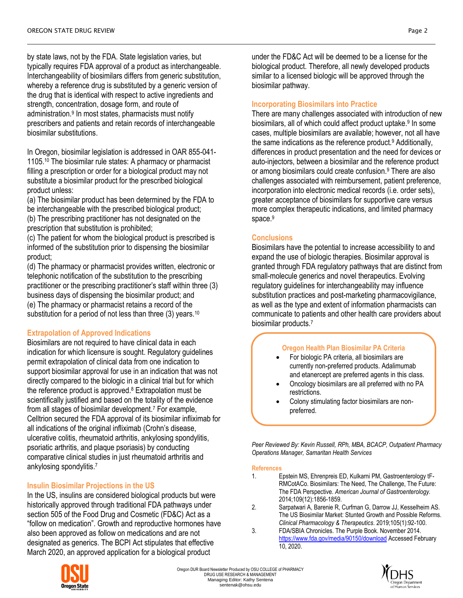by state laws, not by the FDA. State legislation varies, but typically requires FDA approval of a product as interchangeable. Interchangeability of biosimilars differs from generic substitution, whereby a reference drug is substituted by a generic version of the drug that is identical with respect to active ingredients and strength, concentration, dosage form, and route of administration.<sup>9</sup> In most states, pharmacists must notify prescribers and patients and retain records of interchangeable biosimilar substitutions.

In Oregon, biosimilar legislation is addressed in OAR 855-041- 1105.<sup>10</sup> The biosimilar rule states: A pharmacy or pharmacist filling a prescription or order for a biological product may not substitute a biosimilar product for the prescribed biological product unless:

(a) The biosimilar product has been determined by the FDA to be interchangeable with the prescribed biological product; (b) The prescribing practitioner has not designated on the prescription that substitution is prohibited;

(c) The patient for whom the biological product is prescribed is informed of the substitution prior to dispensing the biosimilar product;

(d) The pharmacy or pharmacist provides written, electronic or telephonic notification of the substitution to the prescribing practitioner or the prescribing practitioner's staff within three (3) business days of dispensing the biosimilar product; and (e) The pharmacy or pharmacist retains a record of the substitution for a period of not less than three (3) years.<sup>10</sup>

#### **Extrapolation of Approved Indications**

Biosimilars are not required to have clinical data in each indication for which licensure is sought. Regulatory guidelines permit extrapolation of clinical data from one indication to support biosimilar approval for use in an indication that was not directly compared to the biologic in a clinical trial but for which the reference product is approved. $8$  Extrapolation must be scientifically justified and based on the totality of the evidence from all stages of biosimilar development.<sup>7</sup> For example, Celltrion secured the FDA approval of its biosimilar infliximab for all indications of the original infliximab (Crohn's disease, ulcerative colitis, rheumatoid arthritis, ankylosing spondylitis, psoriatic arthritis, and plaque psoriasis) by conducting comparative clinical studies in just rheumatoid arthritis and ankylosing spondylitis.<sup>7</sup>

# **Insulin Biosimilar Projections in the US**

In the US, insulins are considered biological products but were historically approved through traditional FDA pathways under section 505 of the Food Drug and Cosmetic (FD&C) Act as a "follow on medication". Growth and reproductive hormones have also been approved as follow on medications and are not designated as generics. The BCPI Act stipulates that effective March 2020, an approved application for a biological product



under the FD&C Act will be deemed to be a license for the biological product. Therefore, all newly developed products similar to a licensed biologic will be approved through the biosimilar pathway.

#### **Incorporating Biosimilars into Practice**

There are many challenges associated with introduction of new biosimilars, all of which could affect product uptake.<sup>9</sup> In some cases, multiple biosimilars are available; however, not all have the same indications as the reference product.<sup>9</sup> Additionally, differences in product presentation and the need for devices or auto-injectors, between a biosimilar and the reference product or among biosimilars could create confusion.<sup>9</sup> There are also challenges associated with reimbursement, patient preference, incorporation into electronic medical records (i.e. order sets), greater acceptance of biosimilars for supportive care versus more complex therapeutic indications, and limited pharmacy space.<sup>9</sup>

## **Conclusions**

Biosimilars have the potential to increase accessibility to and expand the use of biologic therapies. Biosimilar approval is granted through FDA regulatory pathways that are distinct from small-molecule generics and novel therapeutics. Evolving regulatory guidelines for interchangeability may influence substitution practices and post-marketing pharmacovigilance, as well as the type and extent of information pharmacists can communicate to patients and other health care providers about biosimilar products.<sup>7</sup>

#### **Oregon Health Plan Biosimilar PA Criteria**

- For biologic PA criteria, all biosimilars are currently non-preferred products. Adalimumab and etanercept are preferred agents in this class.
- Oncology biosimilars are all preferred with no PA restrictions.
- Colony stimulating factor biosimilars are nonpreferred.

*Peer Reviewed By: Kevin Russell, RPh, MBA, BCACP, Outpatient Pharmacy Operations Manager, Samaritan Health Services*

#### **References**

- 1. Epstein MS, Ehrenpreis ED, Kulkarni PM, Gastroenterology tF-RMCotACo. Biosimilars: The Need, The Challenge, The Future: The FDA Perspective. *American Journal of Gastroenterology.*  2014;109(12):1856-1859.
- 2. Sarpatwari A, Barenie R, Curfman G, Darrow JJ, Kesselheim AS. The US Biosimilar Market: Stunted Growth and Possible Reforms. *Clinical Pharmacology & Therapeutics.* 2019;105(1):92-100.
- 3. FDA/SBIA Chronicles. The Purple Book. November 2014. <https://www.fda.gov/media/90150/download> Accessed February 10, 2020.

Oregon DUR Board Newsletter Produced by OSU COLLEGE of PHARMACY DRUG USE RESEARCH & MANAGEMENT Managing Editor: Kathy Sentena sentenak@ohsu.edu